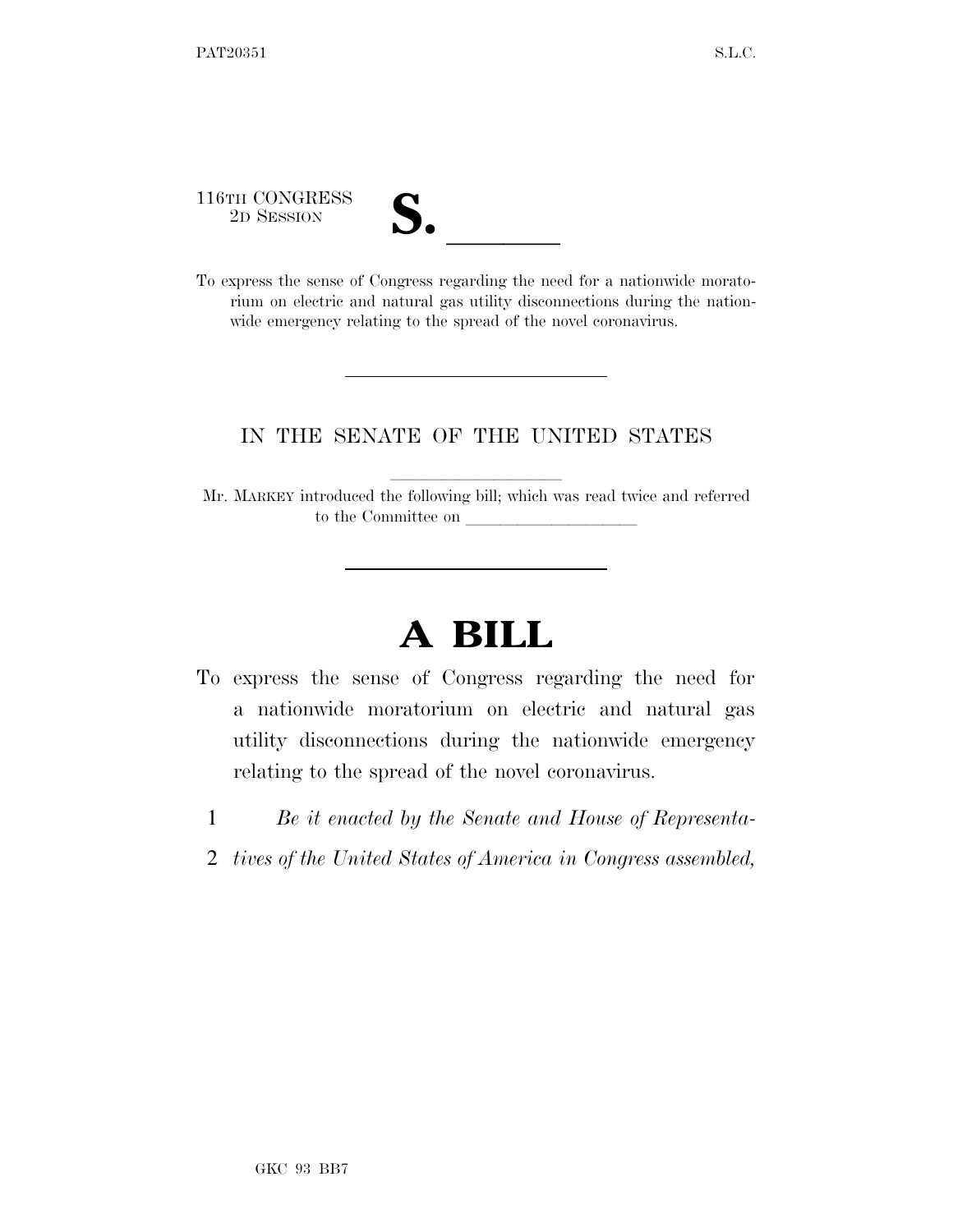116TH CONGRESS

| LJ 0 |  |
|------|--|
|      |  |

116TH CONGRESS<br>
2D SESSION<br>
To express the sense of Congress regarding the need for a nationwide moratorium on electric and natural gas utility disconnections during the nationwide emergency relating to the spread of the novel coronavirus.

## IN THE SENATE OF THE UNITED STATES

Mr. MARKEY introduced the following bill; which was read twice and referred to the Committee on

## **A BILL**

- To express the sense of Congress regarding the need for a nationwide moratorium on electric and natural gas utility disconnections during the nationwide emergency relating to the spread of the novel coronavirus.
	- 1 *Be it enacted by the Senate and House of Representa-*
	- 2 *tives of the United States of America in Congress assembled,*